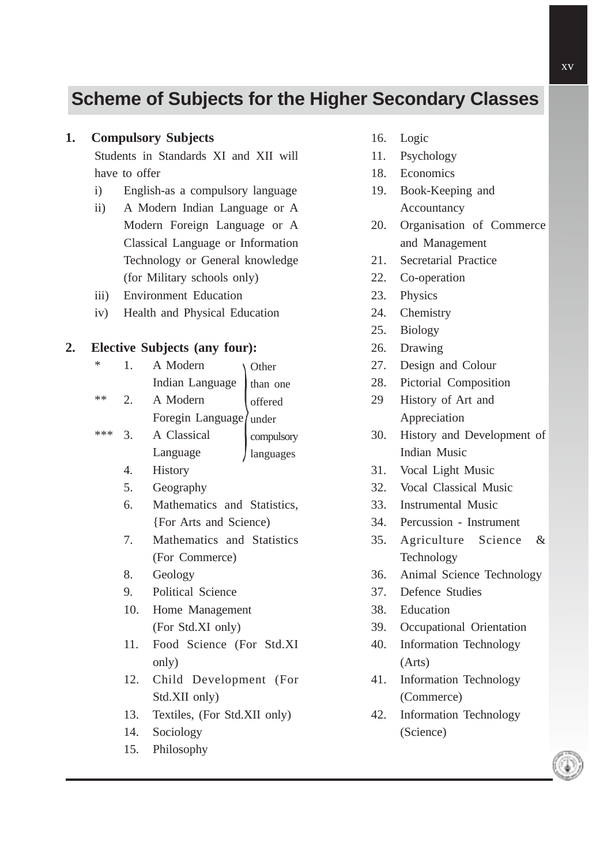# **Scheme of Subjects for the Higher Secondary Classes**

#### **1. Compulsory Subjects**

Students in Standards XI and XII will have to offer

- i) English-as a compulsory language
- ii) A Modern Indian Language or A Modern Foreign Language or A Classical Language or Information Technology or General knowledge (for Military schools only)
- iii) Environment Education
- iv) Health and Physical Education

#### **2. Elective Subjects (any four):**

| $\ast$ |                             | A Modern               | Other      |
|--------|-----------------------------|------------------------|------------|
|        |                             | Indian Language        | than one   |
| **     | $\mathcal{D}_{\mathcal{L}}$ | A Modern               | offered    |
|        |                             | Foregin Language/under |            |
| ***    | $\mathcal{R}$               | A Classical            | compulsory |
|        |                             | Language               | languages  |

- 4. History
- 5. Geography
- 6. Mathematics and Statistics, {For Arts and Science)
- 7. Mathematics and Statistics (For Commerce)
- 8. Geology
- 9. Political Science
- 10. Home Management (For Std.XI only)
- 11. Food Science (For Std.XI only)
- 12. Child Development (For Std.XII only)
- 13. Textiles, (For Std.XII only)
- 14. Sociology
- 15. Philosophy
- 16. Logic
- 11. Psychology
- 18. Economics
- 19. Book-Keeping and Accountancy
- 20. Organisation of Commerce and Management
- 21. Secretarial Practice
- 22. Co-operation
- 23. Physics
- 24. Chemistry
- 25. Biology
- 26. Drawing
- 27. Design and Colour
- 28. Pictorial Composition
- 29 History of Art and Appreciation
- 30. History and Development of Indian Music
- 31. Vocal Light Music
- 32. Vocal Classical Music
- 33. Instrumental Music
- 34. Percussion Instrument
- 35. Agriculture Science & Technology
- 36. Animal Science Technology
- 37. Defence Studies
- 38. Education
- 39. Occupational Orientation
- 40. Information Technology (Arts)
- 41. Information Technology (Commerce)
- 42. Information Technology (Science)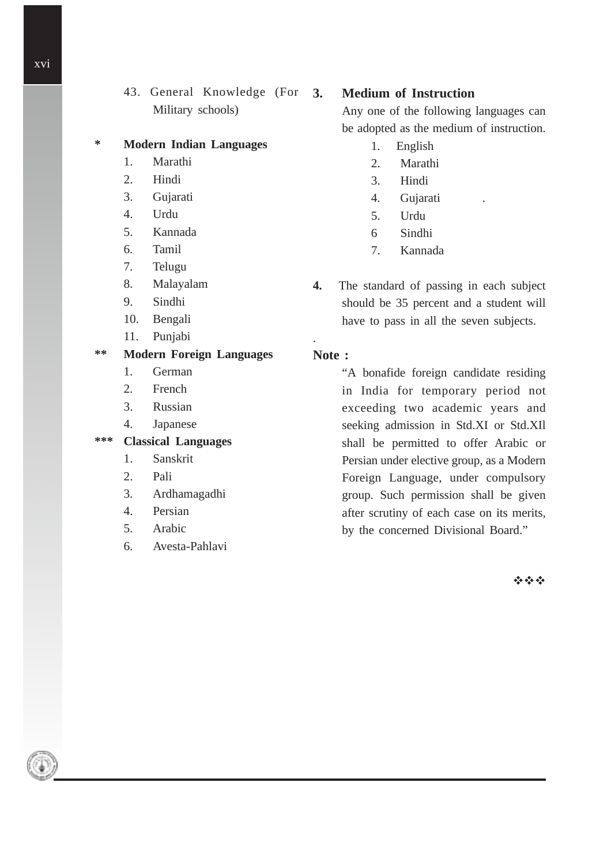43. General Knowledge (For Military schools)

#### **\* Modern Indian Languages**

- 1. Marathi
- 2. Hindi
- 3. Gujarati
- 4. Urdu
- 5. Kannada
- 6. Tamil
- 7. Telugu
- 8. Malayalam
- 9. Sindhi
- 10. Bengali
- 11. Punjabi

#### **\*\* Modern Foreign Languages**

- 1. German
- 2. French
- 3. Russian
- 4. Japanese

#### **\*\*\* Classical Languages**

- 1. Sanskrit
- 2. Pali
- 3. Ardhamagadhi
- 4. Persian
- 5. Arabic
- 6. Avesta-Pahlavi

#### **3. Medium of Instruction**

Any one of the following languages can be adopted as the medium of instruction.

- 1. English
- 2. Marathi
- 3. Hindi
- 4. Guiarati
- 5. Urdu
- 6 Sindhi
- 7. Kannada
- **4.** The standard of passing in each subject should be 35 percent and a student will have to pass in all the seven subjects.

#### **Note :**

.

"A bonafide foreign candidate residing in India for temporary period not exceeding two academic years and seeking admission in Std.XI or Std.XIl shall be permitted to offer Arabic or Persian under elective group, as a Modern Foreign Language, under compulsory group. Such permission shall be given after scrutiny of each case on its merits, by the concerned Divisional Board."

经合金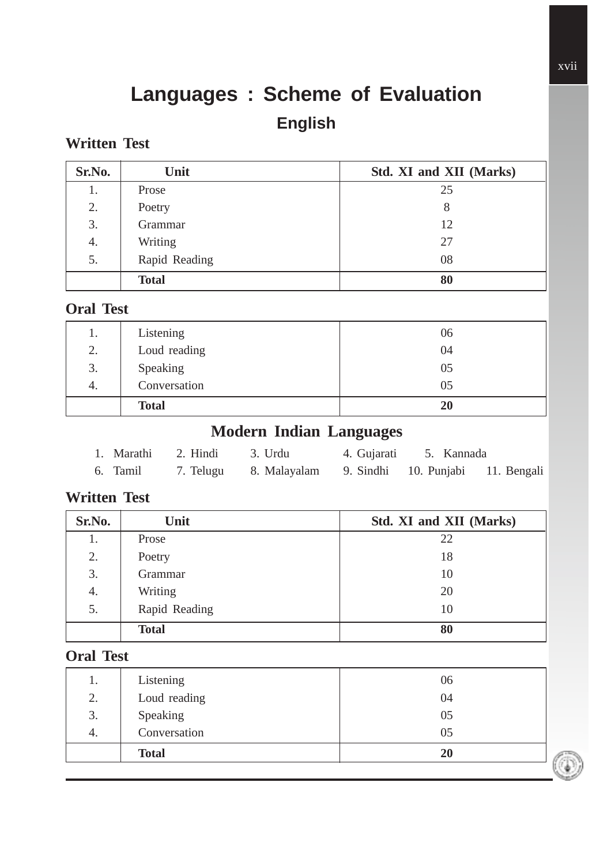# **Languages : Scheme of Evaluation English**

## **Written Test**

| Sr.No. | Unit          | Std. XI and XII (Marks) |
|--------|---------------|-------------------------|
| 1.     | Prose         | 25                      |
| 2.     | Poetry        | 8                       |
| 3.     | Grammar       | 12                      |
| 4.     | Writing       | 27                      |
| 5.     | Rapid Reading | 08                      |
|        | <b>Total</b>  | 80                      |

### **Oral Test**

| I. | Listening                | 06 |
|----|--------------------------|----|
| 2. | Loud reading             | 04 |
| 3. | Speaking<br>Conversation | 05 |
| 4. |                          | 05 |
|    | <b>Total</b>             | 20 |

# **Modern Indian Languages**

|  | 1. Marathi 2. Hindi 3. Urdu |                                                                   | 4. Gujarati 5. Kannada |  |
|--|-----------------------------|-------------------------------------------------------------------|------------------------|--|
|  |                             | 6. Tamil 7. Telugu 8. Malayalam 9. Sindhi 10. Punjabi 11. Bengali |                        |  |

## **Written Test**

| Sr.No. | Unit          | Std. XI and XII (Marks) |
|--------|---------------|-------------------------|
| 1.     | Prose         | 22                      |
| 2.     | Poetry        | 18                      |
| 3.     | Grammar       | 10                      |
| 4.     | Writing       | 20                      |
| 5.     | Rapid Reading | 10                      |
|        | <b>Total</b>  | 80                      |

# **Oral Test**

| Ī. | Listening                | 06        |
|----|--------------------------|-----------|
| 2. | Loud reading             | 04        |
| 3. | Speaking<br>Conversation | 05        |
| 4. |                          | 05        |
|    | <b>Total</b>             | <b>20</b> |

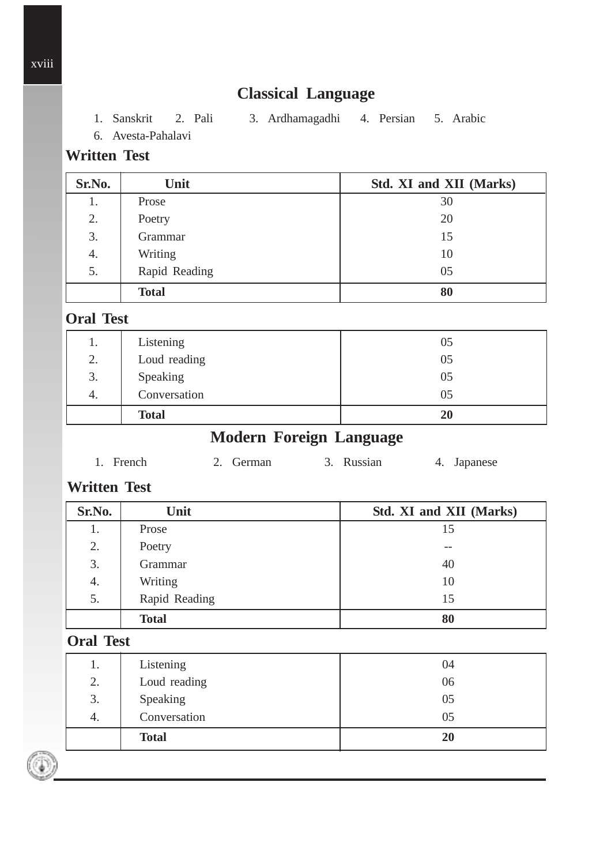# **Classical Language**

1. Sanskrit 2. Pali 3. Ardhamagadhi 4. Persian 5. Arabic

6. Avesta-Pahalavi

## **Written Test**

| Sr.No. | Unit          | Std. XI and XII (Marks) |
|--------|---------------|-------------------------|
| 1.     | Prose         | 30                      |
| 2.     | Poetry        | 20                      |
| 3.     | Grammar       | 15                      |
| 4.     | Writing       | 10                      |
| 5.     | Rapid Reading | 05                      |
|        | <b>Total</b>  | 80                      |

# **Oral Test**

| Ī. | Listening                | 05 |
|----|--------------------------|----|
| 2. | Loud reading             | 05 |
| 3. | Speaking<br>Conversation | 05 |
| 4. |                          | 05 |
|    | <b>Total</b>             | 20 |

# **Modern Foreign Language**

|  | 1. French |  | 2. German |  | 3. Russian |  | 4. Japanese |
|--|-----------|--|-----------|--|------------|--|-------------|
|--|-----------|--|-----------|--|------------|--|-------------|

## **Written Test**

| Sr.No. | Unit          | Std. XI and XII (Marks) |
|--------|---------------|-------------------------|
| 1.     | Prose         | 15                      |
| 2.     | Poetry        | --                      |
| 3.     | Grammar       | 40                      |
| 4.     | Writing       | 10                      |
| 5.     | Rapid Reading | 15                      |
|        | <b>Total</b>  | 80                      |

# **Oral Test**

| ī. | Listening    | 04        |
|----|--------------|-----------|
| 2. | Loud reading | 06        |
| 3. | Speaking     | 05        |
| 4. | Conversation | 05        |
|    | <b>Total</b> | <b>20</b> |

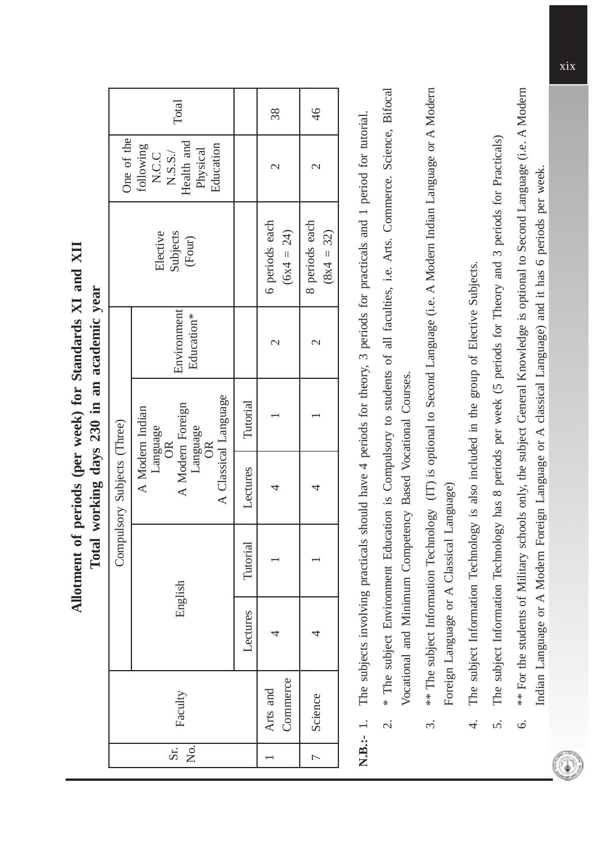Allotment of periods (per week) for Standards XI and XII **Allotment of periods (per week) for Standards XI and XII** Total working days 230 in an academic year **Total working days 230 in an academic year**

|                             | Total                                                                                                                 |          | 38                             | 46                             |
|-----------------------------|-----------------------------------------------------------------------------------------------------------------------|----------|--------------------------------|--------------------------------|
|                             | One of the<br>Health and<br>following<br>Education<br>Physical<br>N.C.C<br>${\rm N.S.S.}$                             |          | $\overline{\mathcal{C}}$       |                                |
|                             | Elective<br>Subjects<br>(Four)                                                                                        |          | 6 periods each<br>$(6x4 = 24)$ | 8 periods each<br>$(8x4 = 32)$ |
|                             | Environment<br>Education*                                                                                             |          | $\mathbin{\sim}$               | ᠭ                              |
|                             | A Classical Language<br>A Modern Foreign<br>A Modern Indian<br>Language<br>OR<br>Language<br>$\overline{\mathcal{C}}$ | Tutorial |                                |                                |
| Compulsory Subjects (Three) |                                                                                                                       | Lectures | 4                              |                                |
|                             |                                                                                                                       |          |                                |                                |
|                             | English                                                                                                               | Lectures |                                |                                |
|                             | Faculty                                                                                                               |          |                                | Science                        |
|                             | Sr.<br>No.                                                                                                            |          |                                | $\overline{1}$                 |

N.B.:- 1. The subjects involving practicals should have 4 periods for theory, 3 periods for practicals and 1 period for tutorial. **N.B.:-** 1. The subjects involving practicals should have 4 periods for theory, 3 periods for practicals and 1 period for tutorial.

- \* The subject Environment Education is Compulsory to students of all faculties, i.e. Arts. Commerce. Science, Bifocal 2. \* The subject Environment Education is Compulsory to students of all faculties, i.e. Arts. Commerce. Science, Bifocal Vocational and Minimum Competency Based Vocational Courses. Vocational and Minimum Competency Based Vocational Courses.  $\overline{\mathcal{C}}$
- \*\* The subject Information Technology (IT) is optional to Second Language (i.e. A Modern Indian Language or A Modern 3. \*\* The subject Information Technology (IT) is optional to Second Language (i.e. A Modern Indian Language or A Modern Foreign Language or A Classical Language) Foreign Language or A Classical Language)  $\dot{\infty}$
- The subject Information Technology is also included in the group of Elective Subjects. 4. The subject Information Technology is also included in the group of Elective Subjects.  $\vec{r}$
- The subject Information Technology has 8 periods per week (5 periods for Theory and 3 periods for Practicals) 5. The subject Information Technology has 8 periods per week (5 periods for Theory and 3 periods for Practicals)  $\dot{\delta}$
- \*\* For the students of Military schools only, the subject General Knowledge is optional to Second Language (i.e. A Modern 6. \*\* For the students of Military schools only, the subject General Knowledge is optional to Second Language (i.e. A Modern Indian Language or A Modern Foreign Language or A classical Language) and it has 6 periods per week. Indian Language or A Modern Foreign Language or A classical Language) and it has 6 periods per week.  $\acute{\circ}$

T